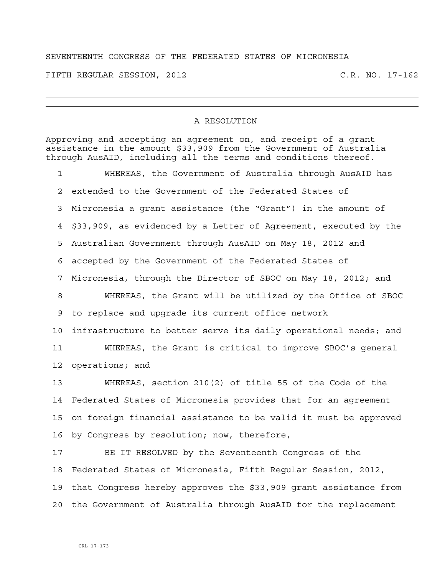## SEVENTEENTH CONGRESS OF THE FEDERATED STATES OF MICRONESIA

FIFTH REGULAR SESSION, 2012 C.R. NO. 17-162

## A RESOLUTION

Approving and accepting an agreement on, and receipt of a grant assistance in the amount \$33,909 from the Government of Australia through AusAID, including all the terms and conditions thereof. 1 WHEREAS, the Government of Australia through AusAID has 2 extended to the Government of the Federated States of 3 Micronesia a grant assistance (the "Grant") in the amount of 4 \$33,909, as evidenced by a Letter of Agreement, executed by the 5 Australian Government through AusAID on May 18, 2012 and 6 accepted by the Government of the Federated States of 7 Micronesia, through the Director of SBOC on May 18, 2012; and 8 WHEREAS, the Grant will be utilized by the Office of SBOC 9 to replace and upgrade its current office network 10 infrastructure to better serve its daily operational needs; and 11 WHEREAS, the Grant is critical to improve SBOC's general 12 operations; and 13 WHEREAS, section 210(2) of title 55 of the Code of the 14 Federated States of Micronesia provides that for an agreement 15 on foreign financial assistance to be valid it must be approved 16 by Congress by resolution; now, therefore, 17 BE IT RESOLVED by the Seventeenth Congress of the 18 Federated States of Micronesia, Fifth Regular Session, 2012,

19 that Congress hereby approves the \$33,909 grant assistance from 20 the Government of Australia through AusAID for the replacement